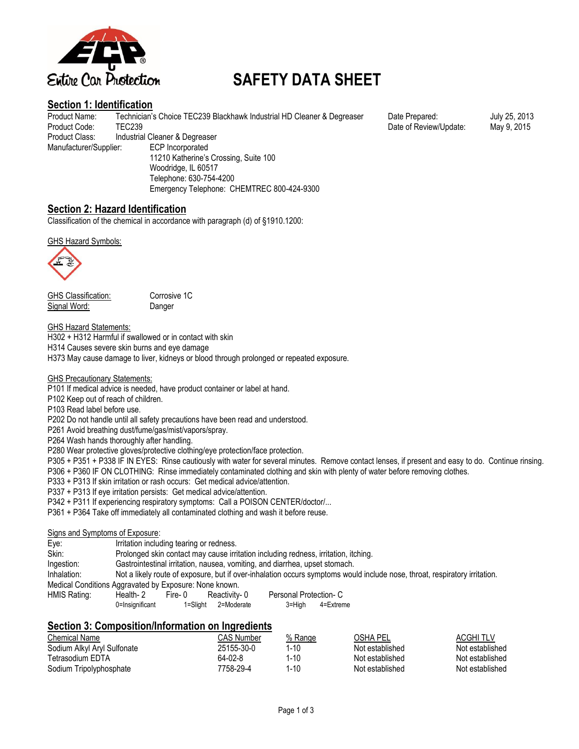

# **SAFETY DATA SHEET**

#### **Section 1: Identification**

Product Name: Technician's Choice TEC239 Blackhawk Industrial HD Cleaner & Degreaser Date Prepared: July 25, 2013 Product Code: TEC239 TEC239 **Product Code:** TEC239 Technology Product Code: May 9, 2015 Product Class: Industrial Cleaner & Degreaser Manufacturer/Supplier: ECP Incorporated 11210 Katherine's Crossing, Suite 100 Woodridge, IL 60517 Telephone: 630-754-4200 Emergency Telephone: CHEMTREC 800-424-9300

### **Section 2: Hazard Identification**

Classification of the chemical in accordance with paragraph (d) of §1910.1200:

GHS Hazard Symbols:



GHS Classification: Corrosive 1C Signal Word: Danger

GHS Hazard Statements:

H302 + H312 Harmful if swallowed or in contact with skin

H314 Causes severe skin burns and eye damage

H373 May cause damage to liver, kidneys or blood through prolonged or repeated exposure.

GHS Precautionary Statements:

P101 If medical advice is needed, have product container or label at hand.

P102 Keep out of reach of children.

P103 Read label before use.

P202 Do not handle until all safety precautions have been read and understood.

P261 Avoid breathing dust/fume/gas/mist/vapors/spray.

P264 Wash hands thoroughly after handling.

P280 Wear protective gloves/protective clothing/eye protection/face protection.

P305 + P351 + P338 IF IN EYES: Rinse cautiously with water for several minutes. Remove contact lenses, if present and easy to do. Continue rinsing. P306 + P360 IF ON CLOTHING: Rinse immediately contaminated clothing and skin with plenty of water before removing clothes.

P333 + P313 If skin irritation or rash occurs: Get medical advice/attention.

P337 + P313 If eye irritation persists: Get medical advice/attention.

P342 + P311 If experiencing respiratory symptoms: Call a POISON CENTER/doctor/...

P361 + P364 Take off immediately all contaminated clothing and wash it before reuse.

#### Signs and Symptoms of Exposure:

Eye: Irritation including tearing or redness.

Skin: Prolonged skin contact may cause irritation including redness, irritation, itching.

Ingestion: Gastrointestinal irritation, nausea, vomiting, and diarrhea, upset stomach.

Inhalation: Not a likely route of exposure, but if over-inhalation occurs symptoms would include nose, throat, respiratory irritation.

Medical Conditions Aggravated by Exposure: None known.

| HMIS Rating: | Health- 2       | Fire-0 | Reactivity-0        | Personal Protection- C |           |
|--------------|-----------------|--------|---------------------|------------------------|-----------|
|              | 0=Insignificant |        | 1=Slight 2=Moderate | 3=High                 | 4=Extreme |

## **Section 3: Composition/Information on Ingredients**

| Chemical Name               | CAS Number | % Range | OSHA PEL        | <b>ACGHITLV</b> |
|-----------------------------|------------|---------|-----------------|-----------------|
| Sodium Alkyl Aryl Sulfonate | 25155-30-0 | 1-10    | Not established | Not established |
| Tetrasodium EDTA            | 64-02-8    | 1-10    | Not established | Not established |
| Sodium Tripolyphosphate     | 7758-29-4  | 1-10    | Not established | Not established |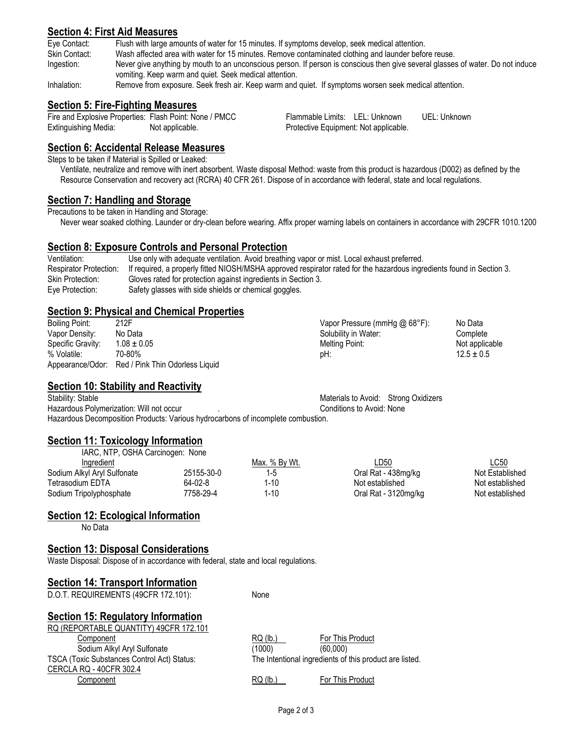#### **Section 4: First Aid Measures**

Eye Contact: Flush with large amounts of water for 15 minutes. If symptoms develop, seek medical attention.

Skin Contact: Wash affected area with water for 15 minutes. Remove contaminated clothing and launder before reuse.

Ingestion: Never give anything by mouth to an unconscious person. If person is conscious then give several glasses of water. Do not induce vomiting. Keep warm and quiet. Seek medical attention.

Inhalation: Remove from exposure. Seek fresh air. Keep warm and quiet. If symptoms worsen seek medical attention.

#### **Section 5: Fire-Fighting Measures**

Fire and Explosive Properties: Flash Point: None / PMCC Flammable Limits: LEL: Unknown UEL: Unknown Extinguishing Media: Not applicable. Protective Equipment: Not applicable.

#### **Section 6: Accidental Release Measures**

Steps to be taken if Material is Spilled or Leaked:

Ventilate, neutralize and remove with inert absorbent. Waste disposal Method: waste from this product is hazardous (D002) as defined by the Resource Conservation and recovery act (RCRA) 40 CFR 261. Dispose of in accordance with federal, state and local regulations.

#### **Section 7: Handling and Storage**

Precautions to be taken in Handling and Storage:

Never wear soaked clothing. Launder or dry-clean before wearing. Affix proper warning labels on containers in accordance with 29CFR 1010.1200

#### **Section 8: Exposure Controls and Personal Protection**

| Ventilation:                  | Use only with adequate ventilation. Avoid breathing vapor or mist. Local exhaust preferred.                           |
|-------------------------------|-----------------------------------------------------------------------------------------------------------------------|
| <b>Respirator Protection:</b> | If required, a properly fitted NIOSH/MSHA approved respirator rated for the hazardous ingredients found in Section 3. |
| Skin Protection:              | Gloves rated for protection against ingredients in Section 3.                                                         |
| Eve Protection:               | Safety glasses with side shields or chemical goggles.                                                                 |

#### **Section 9: Physical and Chemical Properties**

| Boiling Point:    | 212F                                             | Vapor Pressure (mmHg @ 68°F): | No Data        |
|-------------------|--------------------------------------------------|-------------------------------|----------------|
| Vapor Density:    | No Data                                          | Solubility in Water:          | Complete       |
| Specific Gravity: | $1.08 \pm 0.05$                                  | Melting Point:                | Not applicable |
| % Volatile:       | 70-80%                                           | pH:                           | $12.5 \pm 0.5$ |
|                   | Appearance/Odor: Red / Pink Thin Odorless Liquid |                               |                |

### **Section 10: Stability and Reactivity**

Stability: Stable **Stability:** Stable Materials to Avoid: Strong Oxidizers Hazardous Polymerization: Will not occur . Conditions to Avoid: None Hazardous Decomposition Products: Various hydrocarbons of incomplete combustion.

### **Section 11: Toxicology Information**

| IARC, NTP, OSHA Carcinogen: None |            |               |                      |                 |
|----------------------------------|------------|---------------|----------------------|-----------------|
| Ingredient                       |            | Max. % By Wt. | LD50                 | <u>LC50</u>     |
| Sodium Alkyl Aryl Sulfonate      | 25155-30-0 | $1-5$         | Oral Rat - 438mg/kg  | Not Established |
| Tetrasodium EDTA                 | 64-02-8    | 1-10          | Not established      | Not established |
| Sodium Tripolyphosphate          | 7758-29-4  | 1-10          | Oral Rat - 3120mg/kg | Not established |

### **Section 12: Ecological Information**

No Data

#### **Section 13: Disposal Considerations**

Waste Disposal: Dispose of in accordance with federal, state and local regulations.

### **Section 14: Transport Information**

D.O.T. REQUIREMENTS (49CFR 172.101): None

## **Section 15: Regulatory Information**

| RQ (REPORTABLE QUANTITY) 49CFR 172.101      |            |                                                         |
|---------------------------------------------|------------|---------------------------------------------------------|
| Component                                   | $RQ$ (lb.) | For This Product                                        |
| Sodium Alkyl Aryl Sulfonate                 | (1000)     | (60.000)                                                |
| TSCA (Toxic Substances Control Act) Status: |            | The Intentional ingredients of this product are listed. |
| CERCLA RQ - 40CFR 302.4                     |            |                                                         |
| Component                                   | $RQ$ (lb.) | For This Product                                        |